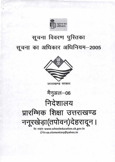

## सूचना विवरण पुस्तिका सूचना का अधिकार अधिनियम-2005





उत्तराखण्ड सरकार



## निदेशालय प्रारम्भिक शिक्षा उत्तराखण्ड ननूरखेड़ा(तपोवन)देहरादून।

वैब साइड-www.schooleducation.uk.gov.in ई.मेल-ua.elementary@yahoo.in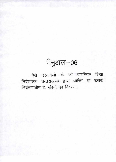## मैनुअल-06

ऐसे दस्तावेजों के जो प्रारम्भिक शिक्षा निदेशालय उत्तराखण्ड द्वारा धारित या उसके नियंत्रणाधीन है, संवर्गो का विवरण।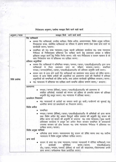| अनुभाग / पटल  | व्यवहृत किये जाने वाले कार्य                                                                                                                                                                                                                                                                                                                                                                              |
|---------------|-----------------------------------------------------------------------------------------------------------------------------------------------------------------------------------------------------------------------------------------------------------------------------------------------------------------------------------------------------------------------------------------------------------|
|               | रिट याचिकार्ये                                                                                                                                                                                                                                                                                                                                                                                            |
|               | •   समस्त रिट  याचिकाओं,  जनहित  याचिका,  विशेष  अपील,  अवमाननावाद,  विशेष  अनुज्ञा  याचिका,   <br>रिज्वाइन्डर शपथ, संशोधित याचिकाओं का पंजिका में अंकना करना तथा उक्त प्राप्त वादों पर<br>कार्यवाही करना / कराना।                                                                                                                                                                                        |
|               | • सम्बन्धित को मा0 उच्च न्यायालय/मुख्य स्थायी अधिवक्ता कार्यालय मा0 उच्च न्यायालय<br>नैनीताल के निर्देशानुसार प्रतिशपथ पत्र दाखिल करने हेतु प्रस्तरवार आख्या व संक्षिप्त<br>इतिहास प्रस्तुत करने हेतु निर्देश निर्गत करना। यदि मात्र निर्देशालय व शासन पक्षकार है तो<br>स्वंय निदेशालय स्तर से प्रतिशपथ पत्र दाखिल करना।                                                                                  |
|               | प्रतिवाद अनुमतियां                                                                                                                                                                                                                                                                                                                                                                                        |
|               | • समस्त रिट याचिकाओं में सम्बिन्धित मण्डल/जनपद/डायट/एस0सी0ई0आर0टी0 द्वारा प्राप्त<br>याचिकाओं मे तैयार प्रस्तरवार उत्तर का परीक्षण करवाना/करना। सम्बन्धित<br>मण्डल / जनपद(बेसिक) / डायट / एस0सी0ई0आर0टी0 को प्रतिवाद अनुमति जारी करना।                                                                                                                                                                    |
|               | • शासन स्तर से प्राप्त होने वाली रिट याचिकाओं का प्रस्तरवार उत्तर शासन को प्रेषित करना।<br>शासन से प्राप्त विशेष अपीलों की अनुमतियां एवं अवमानना वादो की स्थितियों में प्रतिरक्षा                                                                                                                                                                                                                         |
| विधि प्रकोष्ठ | अनुमतियों को सम्बन्धितों को प्रेषित करना, तथा अग्रेतर कार्यवाही सुनिश्चित करवाना/करना।<br>• मा0 न्यायालय में प्रतिशपथ पत्र दाखिल करने सम्बन्धि प्रक्रिया सम्पन्न करना/ करवाना।                                                                                                                                                                                                                            |
|               | अवमानना                                                                                                                                                                                                                                                                                                                                                                                                   |
|               | • मण्डल/जनपद (बेसिक)/डायट/एस0सी0ई0आर0टी0 को अवमानना से<br>संबंधित अभिलेखो, पत्रजातों को मंगाना एवं प्रक्रिया के अन्तर्गत शासन को प्रतिरक्षा<br>अनुमति हेतु प्रस्तुत करना। मा0 न्यायालय में प्रतिरक्षा करना।<br>प्रत्यावेदन निस्तारण                                                                                                                                                                       |
|               | मा0 न्यायालयों के आदेशों का समादर करते हुए याची/याचीगणों को सुनवाई हेतु<br>आमंत्रित करना एवं प्रत्यावेदनों का निस्तारण करना।<br>विशेष अपील                                                                                                                                                                                                                                                                |
|               | सम्बन्धित                                                                                                                                                                                                                                                                                                                                                                                                 |
|               |                                                                                                                                                                                                                                                                                                                                                                                                           |
|               | मण्डल/जनपद (बेसिक)/डायट/एस0सी0ई0आर0टी0 से अभिलेखों को प्राप्त करना<br>तथा विशेष अपील हेतु आधार बिन्दुओं सहित प्रस्ताव की अनुमति हेतु शासन को<br>प्रेषित करना एवं शासन की अनुमति के उपरान्त मा0 उच्च न्यायालय/मुख्य स्थायी<br>अधिवक्ता कार्यालय मे प्रस्तुत कर अपील तैयार कराकर सम्बन्धित के हस्ताक्षरार्थ<br>उपलब्ध कराकर एवं ओथ कराकर मा0 उच्च न्यायालय नैनीताल में प्रतिशपथ पत्र<br>दाखिल करना / कराना। |
|               | विशेष अनुज्ञा याचिका                                                                                                                                                                                                                                                                                                                                                                                      |
|               | • अभिलेख प्राप्त करना। वकालतनामा हेतु शासन को प्रेषित करना तथा मा0 सर्वोच्च<br>न्यायालय में विशेष अनुज्ञा याचिका दाखिल करना।                                                                                                                                                                                                                                                                              |
|               | अन्य कार्य                                                                                                                                                                                                                                                                                                                                                                                                |
|               | शासन से प्राप्त मा0 उच्च न्यायालय/जनपद न्यायालयों में योजित याचिकाओं/वाद<br>सुनिश्चित<br>कार्यवाही<br>करना / कराना,<br>एस0सी0ई0आर0<br>टी0 / डायट / मण्डल / जनपद (बेसिक) के वादों की संख्यात्मक / विवरणात्मक प्रगति<br>प्राप्त करना। समीक्षात्मक बैठक आयोजित करना।                                                                                                                                         |

## निदेशालय अनभाग / प्रकोष्ठ व्यवहृत किये जाने वाले कार्य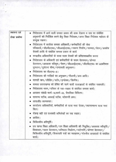| स्थापना एवं<br>लेखा प्रकोष्ठ | • निदेशालय में आने वाली समस्त प्रकार की डाक देखना व उस पर संबंधित<br>अनुभागों को निर्देशित करने हेतु शिक्षा निदेशक/अपर शिक्षा निदेशक महोदय के<br>सम्मुख रखना।                                                                |
|------------------------------|------------------------------------------------------------------------------------------------------------------------------------------------------------------------------------------------------------------------------|
|                              | • निदेशालय में कार्यरत समस्त अधिकारी / कर्मचारियों की सेवा<br>पंजिकायें / जी0पी0एफ0 / जी0आई0एस0 / मकान) निर्माण / मरम्मत / वेतन / अवशेष<br>देयकों आदि से संबंधित समस्त प्रकार के कार्य                                       |
|                              | • मण्डलीय अधिकारियों के यात्रा भत्ता देयकों को प्रतिहस्ताक्षरित करना                                                                                                                                                         |
|                              | • निर्देशालय के अधिकारी एवं कर्मचारियों के चयन वेतनमान / प्रोन्नत                                                                                                                                                            |
|                              | वेतनमान / अवकाश) स्वीकृत / पेंशन / जी0आई0एस0 / जी0पी0एफ0) का ९०प्रतिशत<br>भुगतान / दुर्घटना बीमा / दन्तावली अनुश्रवण।                                                                                                        |
|                              | • निदेशालय का बी0एम0-8।                                                                                                                                                                                                      |
|                              | • निर्देशालय की गाड़ियों का अनुरक्षण / नीलामी / क्रय आदि।                                                                                                                                                                    |
|                              | सामग्री कय / लीडिंग / स्टोर / इण्डेक्स / डिस्पैच ।                                                                                                                                                                           |
|                              | • समस्त उत्तराखण्ड को प्रेषित की जाने वाली राजाज्ञाओं से संबंधित पत्रावली।                                                                                                                                                   |
|                              | • निदेशालय भवन ⁄ परिसर के रख—रखाव से संबंधित समस्त कार्य।                                                                                                                                                                    |
|                              | • आयकर संबंधी फार्म-16,फार्म-24, त्रैमासिक विविरण ।                                                                                                                                                                          |
|                              | • सामान्य स्टॉक, अस्थाई स्टॉक, स्टेशनरी क्रय।                                                                                                                                                                                |
|                              | ● आर0डी0 अल्पबचत।                                                                                                                                                                                                            |
|                              | •  कार्यालय अधिकारियों, कर्मचारियों के यात्रा भत्ता देयक/स्थानान्तरण यात्रा भत्ता<br>बिल ।                                                                                                                                   |
|                              | • रोकड़ बही एवं तत्संबंधी अभिलेखों का रख रखाव।                                                                                                                                                                               |
|                              | आडिट।                                                                                                                                                                                                                        |
|                              | चिकित्सीय क्षतिपूर्ति ।                                                                                                                                                                                                      |
|                              | उप खण्ड शिक्षा अधिकारी / उप शिक्षा अधिकारी की नियुक्ति / अवकाश स्वीकृति /<br>शिकायत/चयन वेतनमान/वरिष्ठता निर्धारण/पदोन्नति/प्रोन्नत वेतनमान/<br>चिकित्सीय क्षतिपूर्ति / शिकायती पत्रों का व्यवहरण / गोपनीय आख्याओ से संबंधित |
|                              | कार्य ।                                                                                                                                                                                                                      |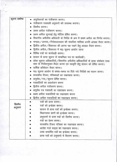| सूचना प्रकोष्ठ | • अनुरोधपत्रों का पंजीकरण करना।                                                                                                                    |
|----------------|----------------------------------------------------------------------------------------------------------------------------------------------------|
|                | • पंजीकरण पत्रावली अनुभागो को उपलब्ध कराना।                                                                                                        |
|                | • डिस्पैच करना।                                                                                                                                    |
|                | • प्रथम अपील पंजीकरण करना।                                                                                                                         |
|                | • प्रथम अपील सुनवाई हेतु नोटिस प्रेषित करना।                                                                                                       |
|                | • विभागीय अपीलीय अधिकारी के निर्देश के क्रम में प्रथम अपील का निर्णय बनाना।                                                                        |
|                | मण्डल / जनपद / निदेशालयस्तर की संकलित मासिक प्रगति आख्या तैयार करना।                                                                               |
|                | • द्वितीय अपील/शिकायत की अपना पक्ष रखने हेतु आख्या तैयार करना।                                                                                     |
|                | • द्वितीय अपील/शिकायत में मा0 सूचना आयोग जाना                                                                                                      |
|                | • विविध पत्रों पर कार्यवाही करना।                                                                                                                  |
|                | • शासन से प्राप्त सूचना से सम्बन्धित पत्र पर कार्यवाही।                                                                                            |
|                | • लोक सूचना अधिकारियों / विभागीय अपीलीय अधिकारियों के ढ़ाचा संशोधन उच्च<br>स्तर से निर्देशानुसार तैयार करना एवं स्वकृति हेतु शासन को प्रेषित करना। |
|                | • वार्षिक प्रतिवेदन तैयार करना।                                                                                                                    |
|                | • मा0 सूचना आयोग से समय–समय पर दिये गये निर्देशो का पालन करना।                                                                                     |
|                | • शासकीय टिकट, पंजिकाओं का रखरखाव करना।                                                                                                            |
|                | ● अनुरोध ⁄ पत्र ⁄ सूचना प्रेषित करना।                                                                                                              |
|                | • पत्रावलियों का अवलोकन करना                                                                                                                       |
|                | • द्वितीय अपील पंजीकरण करना।                                                                                                                       |
|                | • अनुरोध पत्र पत्रावली का रखरखाव करना।                                                                                                             |
|                | • प्रथम अपील पत्रावलियों का रखरखाव करना                                                                                                            |
|                | • द्वितीय अपील पत्रावलियों का रखरखाव करना।                                                                                                         |
|                | पत्रों को प्राप्त करना।                                                                                                                            |
| डिस्पैच        | पत्रों को इन्डेक्स करना।                                                                                                                           |
| अनुभाग         | शासन से प्राप्त पत्रों को इन्डेक्स करना।                                                                                                           |
|                | विधानसभा प्रश्नों को इन्डेक्स करना।                                                                                                                |
|                | अनुभागों से प्राप्त पत्रों को डिस्पैच करना।                                                                                                        |
|                | पत्रों का प्रेषण करना।                                                                                                                             |
|                | शासकीय टिकट पंजिका का रखरखाव करना।                                                                                                                 |
|                | आदेश गार्ड फाइल का रखरखाव करना।                                                                                                                    |
|                | उच्च सन्दर्भित पत्रों का इन्डेक्स करना।                                                                                                            |
|                | प्राप्त पत्रों को अनुभागो में वितरण करना।                                                                                                          |
|                |                                                                                                                                                    |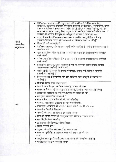| सेवायें<br>अराजपत्रित<br>अनुभाग–3 | मिनिस्ट्रीयल संवर्ग से संबंधित मुख्य प्रशासनिक अधिकारी / वरिष्ठ प्रशासनिक<br>अधिकारी / प्रशासनिक अधिकारी एवं प्रधान सहायकों के पदोन्नति / स्थानान्तरण / चयन<br>वेतन मान/प्रोन्नत वेतनमान/ए०सी०पी० की स्वीकृति/ वरिष्ठता निर्धारण/गोपनीय<br>आख्याओं का मंगाया जाना/शिकायत/दण्ड से सम्बन्धित प्रकरण एवं परिवार कल्याण<br>कार्यक्रम के अर्न्तगत वेतनवृद्धि की स्वीकृति के प्रकरण से सम्बन्धित कार्य।<br>• पटल से सम्बन्धित विधानसभा/लोक सभा से संबंधित कार्य/विदेश जाने हेतु<br>पासपोर्ट / संबंधित संगठन की पत्रावलियों का विवरण / चिकित्सा क्षतिपूर्ति ।<br>शिकायती पत्रों पर कार्यवाही।<br>वैयक्तिक सहायक/जीप चालक/चतुर्थ वर्गीय कार्मिकों से संबंधित निदेशालय स्तर से<br>सम्बन्धित कार्य।<br>मुख्य प्रशासनिक अधिकारी के पद पर पदोन्नति करना एवं अनुशासनात्मक कार्यवाही<br>करने संबंधी।<br>• वरिष्ठ प्रशासनिक अधिकारी के पद पर पदोन्नति करनाएवं अनुशासनात्मक कार्यवाही<br>करने संबंधी।<br>• प्रशासनिक अधिकारी/प्रधान सहायक के पद पर पदोन्नति करना इत्यादि कार्यएवं<br>अनुशासनात्मक कार्यवाही करने संबंधी।<br>मृतक आश्रित के प्रकरण के सम्बन्ध में मण्डल/जनपद एवं शासन से सन्दर्भित<br>प्रकरणों पर कार्यवाही। |  |
|-----------------------------------|-------------------------------------------------------------------------------------------------------------------------------------------------------------------------------------------------------------------------------------------------------------------------------------------------------------------------------------------------------------------------------------------------------------------------------------------------------------------------------------------------------------------------------------------------------------------------------------------------------------------------------------------------------------------------------------------------------------------------------------------------------------------------------------------------------------------------------------------------------------------------------------------------------------------------------------------------------------------------------------------------------------------------------------------------------------------------------------------------------------|--|
|                                   | •   निदेशालय स्तर से निस्तारित होने वाले चिकित्या व्यय प्रतिपूर्ति के प्रकरणों पर<br>कार्यवाही ।                                                                                                                                                                                                                                                                                                                                                                                                                                                                                                                                                                                                                                                                                                                                                                                                                                                                                                                                                                                                            |  |
| अर्थ                              | • विभागीय वार्षिक बजट तैयार करना।<br>• वेतनादि तथा बी0एम0 13 तैयार करना एवं शासन को प्रेषण।<br>• शासन से विभिन्न मदों में अनुदान प्राप्त करना/उपभोग प्रमाण पत्रों का प्रेषण।<br>• अशासकीय विद्यालयों के लिए जी0पी0एफ0 पर ब्याज की मांग।<br>• पद सृजन अशासकीय विद्याालयों में।<br>• भवन अग्रिम/वाहन अग्रिम की मांग एवं स्वीकृति।<br>• मरम्मत/चाहरदीवारी अनुरक्षण की मांग एवं स्वीकृति ।<br>• योजनागत/आयोनेत्तर के अन्तर्गत विभिन्न मदों में धनराशि की मांग।<br>• कालातीत देयकों के निस्तारण।<br>• जनपदों को बजट का आबंटन एवं समीक्षा करना।<br>• प्रान्त की समस्त प्रकार की छात्रवृत्तियां प्राप्त करना व आवंटन करना।<br>• सेवा निवृत्ति पेंशन सम्बन्धी।<br>• ९० प्रतिशत जी०पी०एफ० / जी०आई०एस० ।<br>• वित्तीय परामर्श देना।<br>• अनुभाग से संबंधित लोकसभा / विधानसभा प्रश्न।<br>• बजट का पुर्नविनियोग, अनुपूरक बजट एवं नयी बजट की मांग<br>करना।<br>• सामूहिक बीमा एवं विद्यार्थी सुरक्षा बीमा योजना की क्रियान्वित कराना।<br>• महालेखाकार से आय व्यय का मिलान।                                                                                                                                                |  |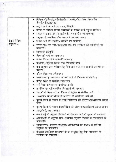|               | • विशिष्ट बी0टी0सी0 / बी0टी0सी0 / एन0टी0टी0 / शिक्षा मित्र / पैरा<br>टीचर्स / डी०एल०एड०।  |
|---------------|-------------------------------------------------------------------------------------------|
|               | • उर्दू शिक्षकों के पदो का सृजन / नियुक्ति।                                               |
|               | • बेसिक से संबंधित समस्त अध्यापकों के समस्त कार्य/मृतक आश्रित।                            |
|               | • समस्त अर्न्तमण्डलीय/अन्तर्जनपदीय/जनपदीय स्थानान्तरण।                                    |
|               | • अनुभाग से सम्बन्धित लोक सभा / विधान सभा प्रश्न।                                         |
| सेवायें बेसिक | • विदेश जाने की अनुमति/पासपोर्ट की कार्यवाही।                                             |
| अनुभाग–4      | उ०रा० प्रा० शि० संघ/प्र०जू०हा० शि० संघ/संगठन की पत्रावलियों का<br>व्यवहरण ।               |
|               | चिकित्सी क्षतिपूर्ति ।                                                                    |
|               | • शिकायती पत्रों का व्यवहरण।                                                              |
|               | •   बेसिक विद्यालयों में पदोन्नति प्रकरण।                                                 |
|               | • प्राथमिक / जूनियर शिक्षक संघ शिकायती पत्र।                                              |
|               | • वाद अनुभाग द्वारा परीक्षण हेतु किये जाने वाले वाद सम्बन्धी प्रकरणों का<br>परीक्षण।      |
|               | • बेसिक शिक्षा का एकीकरण।                                                                 |
|               | उत्तराखण्ड एवं उत्तरप्रदेश के मध्य पदों के विभाजन से संबंधित।                             |
|               | • बेसिक शिक्षा से संबंधित आश्वासन।                                                        |
|               | • सर्व शिक्षा अभियान से सम्बन्धित कार्य।                                                  |
|               | • प्राथमिक एवं पूर्व माध्यमिक विद्यालयों की मान्यता।                                      |
|               | • शिक्षकों के रिक्त पदों का विवरण/नियुक्ति से संबंधित कार्य।                              |
|               | अध्यापक पात्रता परीक्षा के आयोजन से संम्बन्धित कार्यवाही।                                 |
|               | • दूरस्थ शिक्षा के माध्यम से शिक्षा निदेशालय को डी०एल०एड०प्रशिक्षण कराया<br>जाना।         |
|               | • दूरस्थ शिक्षा के माध्यम सेअप्रशिक्षित को डी०एल०एड०प्रशिक्षण कराया जाना।                 |
|               | • आर0टी0ई0 लागू करना।                                                                     |
|               | आर0टी0ई0के अनुसार विधालयों में शिक्षकोंके पदों के सृजन की कार्यवाही।                      |
|               | आर0टी0ई0 के अनुसार छात्र-अध्यापक अनुसार शिक्षकों का समायोजन की<br>कार्यवाही ।             |
|               | • डी०एल०एड०, बी०एड० टी०ई०टी०अर्हताधारियों की स०अ० के पदों पर<br>नियुक्ति की कार्यवाही।    |
|               | बीoएडo टीoईoटीo अर्हताधारियों की नियुक्ति हेतु सेवा नियमावली में<br>संशोाधन की कार्यवाही। |
|               |                                                                                           |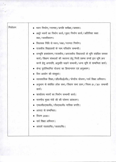| नियोजन | • भवन निर्माण/मरम्मत/प्रगति समीक्षा/प्रस्ताव।                                      |
|--------|------------------------------------------------------------------------------------|
|        | • अधूरे भवनों का निर्माण कार्य/वृहद निर्माण कार्य/अतिरिक्त कक्षा                   |
|        | कक्ष / घ्वस्तीकरण।                                                                 |
|        | • विधायक निधि से भवन / कक्ष / मरम्मत निर्माण।                                      |
|        | • राजकीय विद्याालयों के नाम परिवर्तन सम्बन्धी।                                     |
|        | • वनभूमि हस्तांतरण/राजकीय/अराजकीय विद्यालयों के भूमि संबंधित समस्त                 |
|        | कार्य/शिक्षण संस्थाओं की स्थापना हेतु निजी प्रबन्ध तन्त्रों द्वार भूमि क्रय        |
|        | करने हेतु अनापत्ति, अनुमति चाहने सम्बन्धी/अन्य भूमि से सम्बन्धित कार्य।            |
|        | • केन्द्र पुरोनिधानित योजना का क्रियान्वयन एवं अनुश्रवण।                           |
|        | • वित्त आयोग की संस्तुयां।                                                         |
|        | • व्यावसायिक शिक्षा / डाी0पी0ई0पी0 / केन्द्रीय योजना / सर्व शिक्षा अभियान ।        |
|        | • अनुभाग से संबंधित लोक सभा / विधान सभा प्रश्न / नियम 51 / 301 सम्बन्धी<br>कार्य । |
|        | • कार्यालय भवनों का निर्माण सम्बन्धी कार्य।                                        |
|        | • माननीय मुख्य मंत्री जी की घोषणा आंकलन।                                           |
|        | • एस0सी0एस0पी0 / टी0एस0पी0 मासिक प्रगति ।                                          |
|        | • आपदा से सम्बन्धित।                                                               |
|        | • विजन 2030।                                                                       |
|        | सर्व शिक्षा अभियान।                                                                |
|        | • आदर्श रा०प्रा०वि० / उ०प्रा०वि० ।                                                 |
|        |                                                                                    |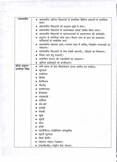| अशासकीय           | • अशासकीय जूनियर विद्यालयों से सम्बन्धित विभिन्न प्रकरणों से सम्बन्धित<br>कार्य ।            |
|-------------------|----------------------------------------------------------------------------------------------|
|                   | अशासकीय विद्यालयों को अनुदान सूची में लेना।                                                  |
|                   | अशासकीय विद्यालयों के अल्पसंख्यक संस्था घोषित किया जाना।                                     |
|                   | अशासकीय विद्यालयों के प्रधानाध्यापकों के स्थानान्तरण की कार्यवाही।                           |
|                   | अनुभाग से सम्बन्धित लोक सभा / विधान सभा के प्रश्न एवं आश्वासन<br>याचिकाओं के सम्बन्धित कार्य |
|                   | अशासकीय सहायता प्राप्त/मान्यता प्राप्त में सवित्त/वित्तहीन मान्यताओं का<br>व्यवहरण।          |
|                   | अशासकीय विद्यालयों के सेवा संबंधी प्रकरणों / विवादों का निस्तारण।                            |
|                   | विदेश जाने हेतु पासपोर्टं।                                                                   |
|                   | सम्बन्धित संगठन की पत्रावलियों का व्यवहरण।                                                   |
|                   | जूनियर हाईस्कूलों का प्रान्तीकरण।                                                            |
| क्रीडा अनुमाग     | • सभी प्रकार के खेल क्रियाकलाप (राज्य स्तरीय एवं राष्ट्रीय)।                                 |
| प्रारम्भिक शिक्षा | फुटवाल                                                                                       |
|                   | वालीवाल                                                                                      |
|                   | क्रिकेट                                                                                      |
|                   | बैटमिन्टन                                                                                    |
|                   | ਟੀoਟੀo                                                                                       |
|                   | बास्केटवाल                                                                                   |
|                   | हैण्डवाल                                                                                     |
|                   | ताइक्वाडों                                                                                   |
|                   | वांक्सिग                                                                                     |
|                   | खो-खो                                                                                        |
|                   | कब्बड़ी                                                                                      |
|                   | तैराकी                                                                                       |
|                   | जूड़ो                                                                                        |
|                   | कुश्ती                                                                                       |
|                   | योगा                                                                                         |
|                   | हाँकी                                                                                        |
|                   | एथलेक्टिस / साहित्यिक–सांस्कृतिक                                                             |
|                   | सूव्रतो फुटवाल                                                                               |
|                   | नेहरू हौकी।                                                                                  |
|                   | स्काउट–गाइड / रेडक्रास।                                                                      |
|                   | एन0सी0सी0 / राष्ट्रीय सेवा योजना।                                                            |

 $\begin{array}{cc} \mathbf{1} & \mathbf{1} & \mathbf{1} \\ \mathbf{1} & \mathbf{1} & \mathbf{1} \\ \mathbf{1} & \mathbf{1} & \mathbf{1} \end{array}$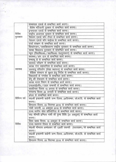|              | राज्यपाल एवार्ड से सम्बन्धित कार्य करना।                                    |
|--------------|-----------------------------------------------------------------------------|
|              | शैलेष मटियानी पुस्कार से सम्बन्धित कार्य करना।                              |
|              | इन्सपायर एवार्ड से सम्बन्धित कार्य करना।                                    |
| विविध        | राष्ट्रीय अध्यापक पुस्कार से सम्बन्धित कार्य करना।                          |
| पुरस्कार     | नेशलन एवार्ड फॉर टीचर से सम्बन्धित कार्य करना।                              |
|              | नेशलन एवार्ड फॉर चाईल्ड से सम्बन्धित कार्य करना।                            |
|              | उर्जा संरक्षण से सम्बन्धित कार्य करना।                                      |
|              | दिव्यांगजन/सशक्तिकरण राष्ट्रीय पुरस्कार से सम्बन्धित कार्य करना।            |
|              | स्वच्छ विद्यालय पुरस्कार से सम्बन्धित कार्य करना।                           |
|              | न्यूपा (जि0शि0आ0 / ख0शि0आ0 रा0पुरस्कार) से सम्बन्धित कार्य करना।            |
|              | स्वास्थ्य / अंग दान से सम्बन्धित कार्य करना।                                |
|              | तम्बाकू डे से सम्बन्धित कार्य करना।                                         |
|              | स्वास्थ्य परीक्षण से सम्बन्धित कार्य करना।                                  |
|              | स्वच्छ गंगा सहभागिता से सम्बन्धित कार्य करना।                               |
| स्वास्थ्य    | जलवायु परिवर्तन (लेखा स्थापना) से सम्बन्धित कार्य करना।                     |
|              | शैक्षिक संस्थान के सुधार हेतु निर्देश से सम्बन्धित कार्य करना।              |
|              | विद्यालयों के गणवेश से सम्बन्धित कार्य करना।                                |
|              | डेंगू की रोकथाम से सम्बन्धित कार्य करना।                                    |
|              | रवच्छ भारत मिशन से सम्बन्धित कार्य करना।                                    |
|              | एच0आई0वी0 / एड्स सम्बन्धी से सम्बन्धित कार्य करना।                          |
|              | स्वाधीनता दिवस 15 अगस्त से सम्बन्धित कार्य करना।                            |
|              | गणतन्त्र दिवस 26 जनवरी से सम्बन्धित कार्य करना।                             |
|              | हरेला से सम्बन्धित कार्य करना।                                              |
| विभिन्न पर्व | स्व0श्री इन्द्रमणी बडोनी जन्म दिवस, 24दिसम्बर, लो.सं.दि. से सम्बन्धित कार्य |
|              | करना।                                                                       |
|              | हिमालय दिवस, 05 सितम्बर 2016 से सम्बन्धित कार्य करना।                       |
|              | गांधी जयन्ती, 02 अक्टूबर 2016 से सम्बन्धित कार्य करना।                      |
|              | राज्य स्तरीय खेल प्रतियोगिता से सम्बन्धित कार्य करना।                       |
| विविध        | स्व0 श्रीमती इन्दिरा गांधी की पुण्य तिथि (31 अक्टूबर) से सम्बन्धित कार्य    |
|              | करना।                                                                       |
|              | विश्व खाद्य दिवस, 16 अक्टूबर से सम्बन्धित कार्य करना।                       |
|              | राज्य स्थापना दिवस से सम्बन्धित कार्य करना।                                 |
|              | स्व0श्री भीमराव अम्बेडकर जी 125वीं जयन्ती (पाठयक्रम/से सम्बन्धित कार्य      |
|              | करना।                                                                       |
|              | स्व0श्री इन्द्रमणी बडोनी जन्म दिवस, 24दिसम्बर, लो.सं.दि. से सम्बन्धित कार्य |
|              | करना।                                                                       |
|              | हिमालय दिवस, 05 सितम्बर 2016 से सम्बन्धित कार्य करना।                       |